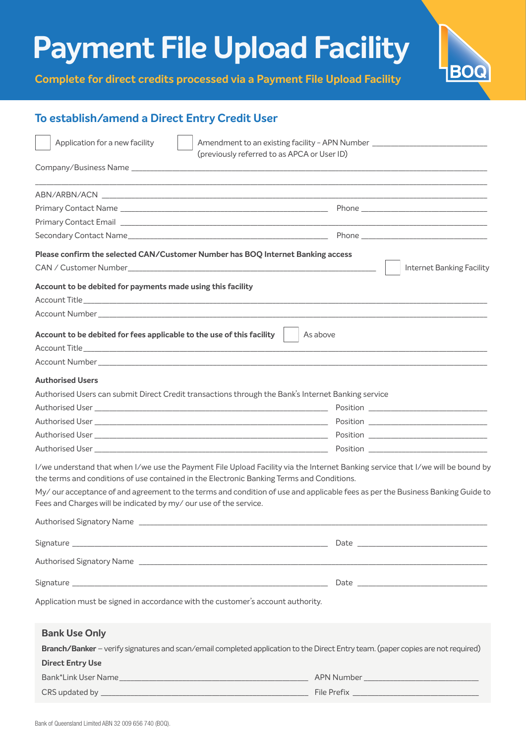## **Payment File Upload Facility**

**Complete for direct credits processed via a Payment File Upload Facility**



### **To establish/amend a Direct Entry Credit User**

| ABN/ARBN/ACN<br>Please confirm the selected CAN/Customer Number has BOQ Internet Banking access<br>Internet Banking Facility<br>Account to be debited for payments made using this facility<br>Account to be debited for fees applicable to the use of this facility<br>As above<br><b>Authorised Users</b><br>Authorised Users can submit Direct Credit transactions through the Bank's Internet Banking service<br>the terms and conditions of use contained in the Electronic Banking Terms and Conditions.<br>My/ our acceptance of and agreement to the terms and condition of use and applicable fees as per the Business Banking Guide to<br>Fees and Charges will be indicated by my/our use of the service.<br>Application must be signed in accordance with the customer's account authority.<br><b>Bank Use Only</b><br>Branch/Banker - verify signatures and scan/email completed application to the Direct Entry team. (paper copies are not required)<br><b>Direct Entry Use</b> | Application for a new facility | Amendment to an existing facility - APN Number _________________________________ |
|------------------------------------------------------------------------------------------------------------------------------------------------------------------------------------------------------------------------------------------------------------------------------------------------------------------------------------------------------------------------------------------------------------------------------------------------------------------------------------------------------------------------------------------------------------------------------------------------------------------------------------------------------------------------------------------------------------------------------------------------------------------------------------------------------------------------------------------------------------------------------------------------------------------------------------------------------------------------------------------------|--------------------------------|----------------------------------------------------------------------------------|
|                                                                                                                                                                                                                                                                                                                                                                                                                                                                                                                                                                                                                                                                                                                                                                                                                                                                                                                                                                                                |                                | (previously referred to as APCA or User ID)                                      |
| I/we understand that when I/we use the Payment File Upload Facility via the Internet Banking service that I/we will be bound by                                                                                                                                                                                                                                                                                                                                                                                                                                                                                                                                                                                                                                                                                                                                                                                                                                                                |                                |                                                                                  |
|                                                                                                                                                                                                                                                                                                                                                                                                                                                                                                                                                                                                                                                                                                                                                                                                                                                                                                                                                                                                |                                |                                                                                  |
|                                                                                                                                                                                                                                                                                                                                                                                                                                                                                                                                                                                                                                                                                                                                                                                                                                                                                                                                                                                                |                                |                                                                                  |
|                                                                                                                                                                                                                                                                                                                                                                                                                                                                                                                                                                                                                                                                                                                                                                                                                                                                                                                                                                                                |                                |                                                                                  |
|                                                                                                                                                                                                                                                                                                                                                                                                                                                                                                                                                                                                                                                                                                                                                                                                                                                                                                                                                                                                |                                |                                                                                  |
|                                                                                                                                                                                                                                                                                                                                                                                                                                                                                                                                                                                                                                                                                                                                                                                                                                                                                                                                                                                                |                                |                                                                                  |
|                                                                                                                                                                                                                                                                                                                                                                                                                                                                                                                                                                                                                                                                                                                                                                                                                                                                                                                                                                                                |                                |                                                                                  |
|                                                                                                                                                                                                                                                                                                                                                                                                                                                                                                                                                                                                                                                                                                                                                                                                                                                                                                                                                                                                |                                |                                                                                  |
|                                                                                                                                                                                                                                                                                                                                                                                                                                                                                                                                                                                                                                                                                                                                                                                                                                                                                                                                                                                                |                                |                                                                                  |
|                                                                                                                                                                                                                                                                                                                                                                                                                                                                                                                                                                                                                                                                                                                                                                                                                                                                                                                                                                                                |                                |                                                                                  |
|                                                                                                                                                                                                                                                                                                                                                                                                                                                                                                                                                                                                                                                                                                                                                                                                                                                                                                                                                                                                |                                |                                                                                  |
|                                                                                                                                                                                                                                                                                                                                                                                                                                                                                                                                                                                                                                                                                                                                                                                                                                                                                                                                                                                                |                                |                                                                                  |
|                                                                                                                                                                                                                                                                                                                                                                                                                                                                                                                                                                                                                                                                                                                                                                                                                                                                                                                                                                                                |                                |                                                                                  |
|                                                                                                                                                                                                                                                                                                                                                                                                                                                                                                                                                                                                                                                                                                                                                                                                                                                                                                                                                                                                |                                |                                                                                  |
|                                                                                                                                                                                                                                                                                                                                                                                                                                                                                                                                                                                                                                                                                                                                                                                                                                                                                                                                                                                                |                                |                                                                                  |
|                                                                                                                                                                                                                                                                                                                                                                                                                                                                                                                                                                                                                                                                                                                                                                                                                                                                                                                                                                                                |                                |                                                                                  |
|                                                                                                                                                                                                                                                                                                                                                                                                                                                                                                                                                                                                                                                                                                                                                                                                                                                                                                                                                                                                |                                |                                                                                  |
|                                                                                                                                                                                                                                                                                                                                                                                                                                                                                                                                                                                                                                                                                                                                                                                                                                                                                                                                                                                                |                                |                                                                                  |
|                                                                                                                                                                                                                                                                                                                                                                                                                                                                                                                                                                                                                                                                                                                                                                                                                                                                                                                                                                                                |                                |                                                                                  |
|                                                                                                                                                                                                                                                                                                                                                                                                                                                                                                                                                                                                                                                                                                                                                                                                                                                                                                                                                                                                |                                |                                                                                  |
|                                                                                                                                                                                                                                                                                                                                                                                                                                                                                                                                                                                                                                                                                                                                                                                                                                                                                                                                                                                                |                                |                                                                                  |
|                                                                                                                                                                                                                                                                                                                                                                                                                                                                                                                                                                                                                                                                                                                                                                                                                                                                                                                                                                                                |                                |                                                                                  |
|                                                                                                                                                                                                                                                                                                                                                                                                                                                                                                                                                                                                                                                                                                                                                                                                                                                                                                                                                                                                |                                |                                                                                  |
|                                                                                                                                                                                                                                                                                                                                                                                                                                                                                                                                                                                                                                                                                                                                                                                                                                                                                                                                                                                                |                                |                                                                                  |
|                                                                                                                                                                                                                                                                                                                                                                                                                                                                                                                                                                                                                                                                                                                                                                                                                                                                                                                                                                                                |                                |                                                                                  |
|                                                                                                                                                                                                                                                                                                                                                                                                                                                                                                                                                                                                                                                                                                                                                                                                                                                                                                                                                                                                |                                |                                                                                  |
|                                                                                                                                                                                                                                                                                                                                                                                                                                                                                                                                                                                                                                                                                                                                                                                                                                                                                                                                                                                                |                                |                                                                                  |
|                                                                                                                                                                                                                                                                                                                                                                                                                                                                                                                                                                                                                                                                                                                                                                                                                                                                                                                                                                                                |                                |                                                                                  |
|                                                                                                                                                                                                                                                                                                                                                                                                                                                                                                                                                                                                                                                                                                                                                                                                                                                                                                                                                                                                |                                |                                                                                  |
|                                                                                                                                                                                                                                                                                                                                                                                                                                                                                                                                                                                                                                                                                                                                                                                                                                                                                                                                                                                                |                                |                                                                                  |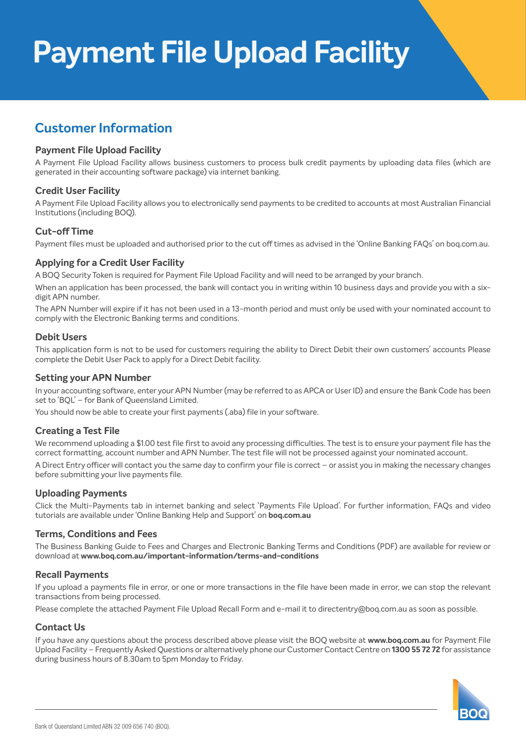# **Payment File Upload Facility**

### **Customer Information**

#### **Payment File Upload Facility**

A Payment File Upload Facility allows business customers to process bulk credit payments by uploading data files (which are generated in their accounting software package) via internet banking.

#### **Credit User Facility**

A Payment File Upload Facility allows you to electronically send payments to be credited to accounts at most Australian Financial Institutions (including BOQ).

#### **Cut-off Time**

Payment files must be uploaded and authorised prior to the cut off times as advised in the 'Online Banking FAQs' on boq.com.au.

#### **Applying for a Credit User Facility**

A BOQ Security Token is required for Payment File Upload Facility and will need to be arranged by your branch.

When an application has been processed, the bank will contact you in writing within 10 business days and provide you with a sixdigit APN number.

The APN Number will expire if it has not been used in a 13-month period and must only be used with your nominated account to comply with the Electronic Banking terms and conditions.

#### **Debit Users**

This application form is not to be used for customers requiring the ability to Direct Debit their own customers' accounts Please complete the Debit User Pack to apply for a Direct Debit facility.

#### **Setting your APN Number**

In your accounting software, enter your APN Number (may be referred to as APCA or User ID) and ensure the Bank Code has been set to 'BQL' – for Bank of Queensland Limited.

You should now be able to create your first payments (.aba) file in your software.

#### **Creating a Test File**

We recommend uploading a \$1.00 test file first to avoid any processing difficulties. The test is to ensure your payment file has the correct formatting, account number and APN Number. The test file will not be processed against your nominated account.

A Direct Entry officer will contact you the same day to confirm your file is correct – or assist you in making the necessary changes before submitting your live payments file.

#### **Uploading Payments**

Click the Multi-Payments tab in internet banking and select 'Payments File Upload'. For further information, FAQs and video tutorials are available under 'Online Banking Help and Support' on **boq.com.au**

#### **Terms, Conditions and Fees**

The Business Banking Guide to Fees and Charges and Electronic Banking Terms and Conditions (PDF) are available for review or download at **www.boq.com.au/important-information/terms-and-conditions**

#### **Recall Payments**

If you upload a payments file in error, or one or more transactions in the file have been made in error, we can stop the relevant transactions from being processed.

Please complete the attached Payment File Upload Recall Form and e-mail it to directentry@boq.com.au as soon as possible.

#### **Contact Us**

If you have any questions about the process described above please visit the BOQ website at **www.boq.com.au** for Payment File Upload Facility – Frequently Asked Questions or alternatively phone our Customer Contact Centre on **1300 55 72 72** for assistance during business hours of 8.30am to 5pm Monday to Friday.